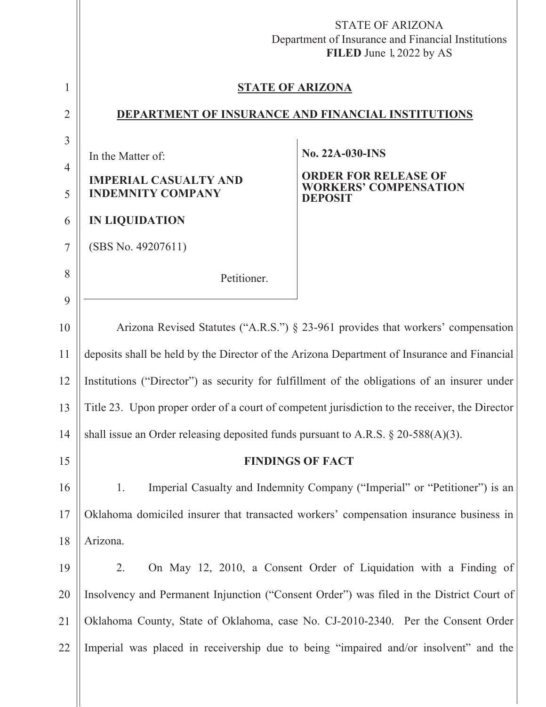|                | <b>STATE OF ARIZONA</b><br>Department of Insurance and Financial Institutions<br>FILED June 1, 2022 by AS |                                                                   |
|----------------|-----------------------------------------------------------------------------------------------------------|-------------------------------------------------------------------|
| 1              | <b>STATE OF ARIZONA</b>                                                                                   |                                                                   |
| $\overline{2}$ | DEPARTMENT OF INSURANCE AND FINANCIAL INSTITUTIONS                                                        |                                                                   |
| 3              |                                                                                                           | <b>No. 22A-030-INS</b>                                            |
| $\overline{4}$ | In the Matter of:                                                                                         | <b>ORDER FOR RELEASE OF</b>                                       |
| 5              | <b>IMPERIAL CASUALTY AND</b><br><b>INDEMNITY COMPANY</b>                                                  | <b>WORKERS' COMPENSATION</b><br><b>DEPOSIT</b>                    |
| 6              | <b>IN LIQUIDATION</b>                                                                                     |                                                                   |
| $\overline{7}$ | (SBS No. 49207611)                                                                                        |                                                                   |
| 8              | Petitioner.                                                                                               |                                                                   |
| 9              |                                                                                                           |                                                                   |
| 10             | Arizona Revised Statutes ("A.R.S.") § 23-961 provides that workers' compensation                          |                                                                   |
| 11             | deposits shall be held by the Director of the Arizona Department of Insurance and Financial               |                                                                   |
| 12             | Institutions ("Director") as security for fulfillment of the obligations of an insurer under              |                                                                   |
| 13             | Title 23. Upon proper order of a court of competent jurisdiction to the receiver, the Director            |                                                                   |
| 14             | shall issue an Order releasing deposited funds pursuant to A.R.S. $\S 20-588(A)(3)$ .                     |                                                                   |
| 15             | <b>FINDINGS OF FACT</b>                                                                                   |                                                                   |
| 16             | Imperial Casualty and Indemnity Company ("Imperial" or "Petitioner") is an<br>1.                          |                                                                   |
| 17             | Oklahoma domiciled insurer that transacted workers' compensation insurance business in                    |                                                                   |
| 18             | Arizona.                                                                                                  |                                                                   |
| 19             | 2.                                                                                                        | On May 12, 2010, a Consent Order of Liquidation with a Finding of |
| 20             | Insolvency and Permanent Injunction ("Consent Order") was filed in the District Court of                  |                                                                   |
| 21             | Oklahoma County, State of Oklahoma, case No. CJ-2010-2340. Per the Consent Order                          |                                                                   |
| 22             | Imperial was placed in receivership due to being "impaired and/or insolvent" and the                      |                                                                   |
|                |                                                                                                           |                                                                   |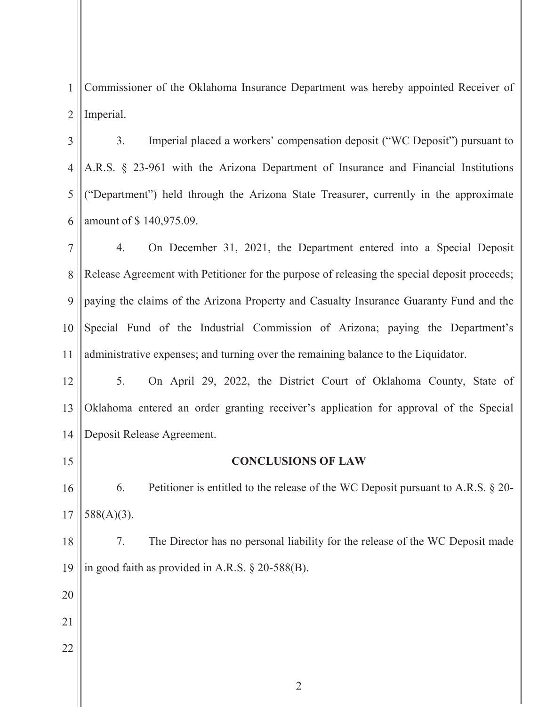1 2 Commissioner of the Oklahoma Insurance Department was hereby appointed Receiver of Imperial.

3 4 5 6 3. Imperial placed a workers' compensation deposit ("WC Deposit") pursuant to A.R.S. § 23-961 with the Arizona Department of Insurance and Financial Institutions ("Department") held through the Arizona State Treasurer, currently in the approximate amount of \$ 140,975.09.

7 8 9 10 11 4. On December 31, 2021, the Department entered into a Special Deposit Release Agreement with Petitioner for the purpose of releasing the special deposit proceeds; paying the claims of the Arizona Property and Casualty Insurance Guaranty Fund and the Special Fund of the Industrial Commission of Arizona; paying the Department's administrative expenses; and turning over the remaining balance to the Liquidator.

12 13 14 5. On April 29, 2022, the District Court of Oklahoma County, State of Oklahoma entered an order granting receiver's application for approval of the Special Deposit Release Agreement.

15

## **CONCLUSIONS OF LAW**

16 17 6. Petitioner is entitled to the release of the WC Deposit pursuant to A.R.S. § 20- 588(A)(3).

18 19 7. The Director has no personal liability for the release of the WC Deposit made in good faith as provided in A.R.S. § 20-588(B).

- 20
- 21
- 22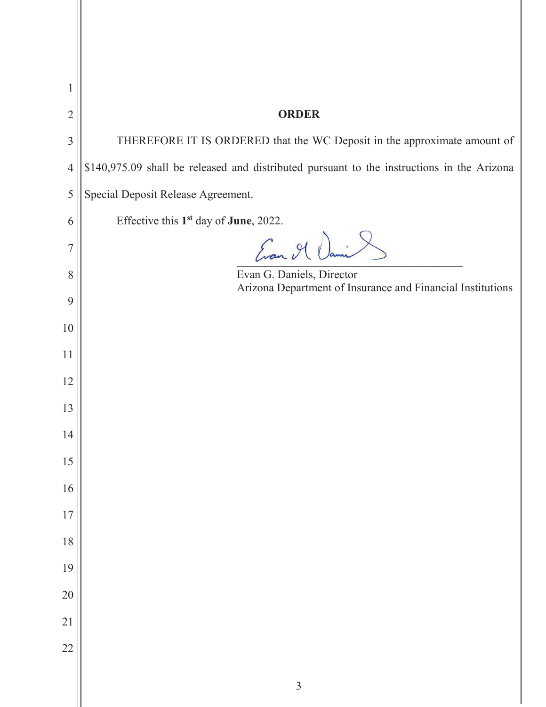| 1              |                                                                                            |  |
|----------------|--------------------------------------------------------------------------------------------|--|
| $\overline{2}$ | <b>ORDER</b>                                                                               |  |
| 3              | THEREFORE IT IS ORDERED that the WC Deposit in the approximate amount of                   |  |
| $\overline{4}$ | \$140,975.09 shall be released and distributed pursuant to the instructions in the Arizona |  |
| 5              | Special Deposit Release Agreement.                                                         |  |
| 6              | Effective this 1 <sup>st</sup> day of June, 2022.                                          |  |
| 7              | Evan Il Dani                                                                               |  |
| 8              | Evan G. Daniels, Director<br>Arizona Department of Insurance and Financial Institutions    |  |
| 9              |                                                                                            |  |
| 10             |                                                                                            |  |
| 11             |                                                                                            |  |
| 12             |                                                                                            |  |
| 13             |                                                                                            |  |
| 14             |                                                                                            |  |
| 15             |                                                                                            |  |
| 16             |                                                                                            |  |
| 17             |                                                                                            |  |
| 18             |                                                                                            |  |
| 19             |                                                                                            |  |
| 20             |                                                                                            |  |
| 21             |                                                                                            |  |
| 22             |                                                                                            |  |
|                | $\overline{3}$                                                                             |  |